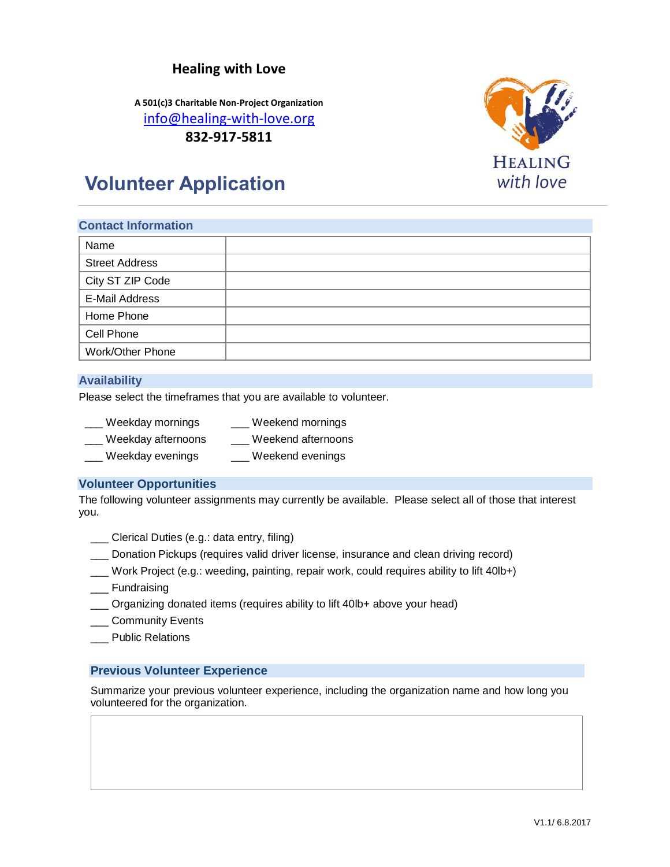## **Healing with Love**

**A 501(c)3 Charitable Non-Project Organization** [info@healing-with-love.org](mailto:info@healing-with-love.org) **832-917-5811**



# **Volunteer Application**

# **Contact Information** Name Street Address City ST ZIP Code E-Mail Address Home Phone Cell Phone Work/Other Phone

#### **Availability**

Please select the timeframes that you are available to volunteer.

| Weekday mornings   | Weekend mornings   |
|--------------------|--------------------|
| Weekday afternoons | Weekend afternoons |
| Weekday evenings   | Weekend evenings   |

#### **Volunteer Opportunities**

The following volunteer assignments may currently be available. Please select all of those that interest you.

\_\_\_ Clerical Duties (e.g.: data entry, filing)

- \_\_\_ Donation Pickups (requires valid driver license, insurance and clean driving record)
- \_\_\_ Work Project (e.g.: weeding, painting, repair work, could requires ability to lift 40lb+)
- \_\_\_ Fundraising
- \_\_\_ Organizing donated items (requires ability to lift 40lb+ above your head)
- \_\_\_ Community Events
- \_\_\_ Public Relations

#### **Previous Volunteer Experience**

Summarize your previous volunteer experience, including the organization name and how long you volunteered for the organization.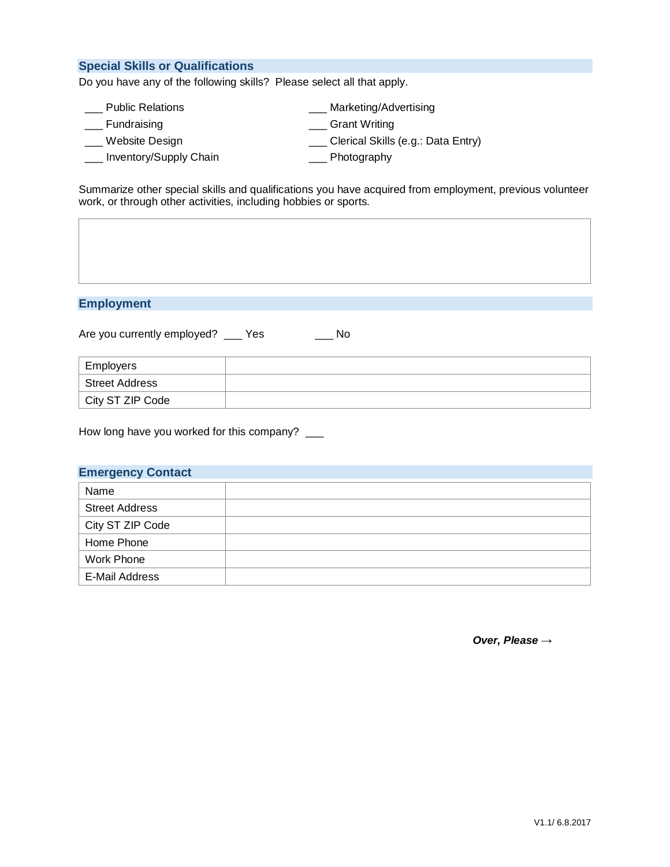#### **Special Skills or Qualifications**

Do you have any of the following skills? Please select all that apply.

| <b>Public Relations</b> | Marketing/Advertising              |  |
|-------------------------|------------------------------------|--|
| Fundraising             | <b>Grant Writing</b>               |  |
| Website Design          | Clerical Skills (e.g.: Data Entry) |  |
| Inventory/Supply Chain  | Photography                        |  |

Summarize other special skills and qualifications you have acquired from employment, previous volunteer work, or through other activities, including hobbies or sports.

### **Employment**

Are you currently employed? \_\_\_ Yes \_\_\_\_ No

| Employers        |  |
|------------------|--|
| Street Address   |  |
| City ST ZIP Code |  |

How long have you worked for this company? \_\_\_

#### **Emergency Contact**

| Name                  |  |
|-----------------------|--|
| <b>Street Address</b> |  |
| City ST ZIP Code      |  |
| Home Phone            |  |
| Work Phone            |  |
| E-Mail Address        |  |

*Over, Please* →